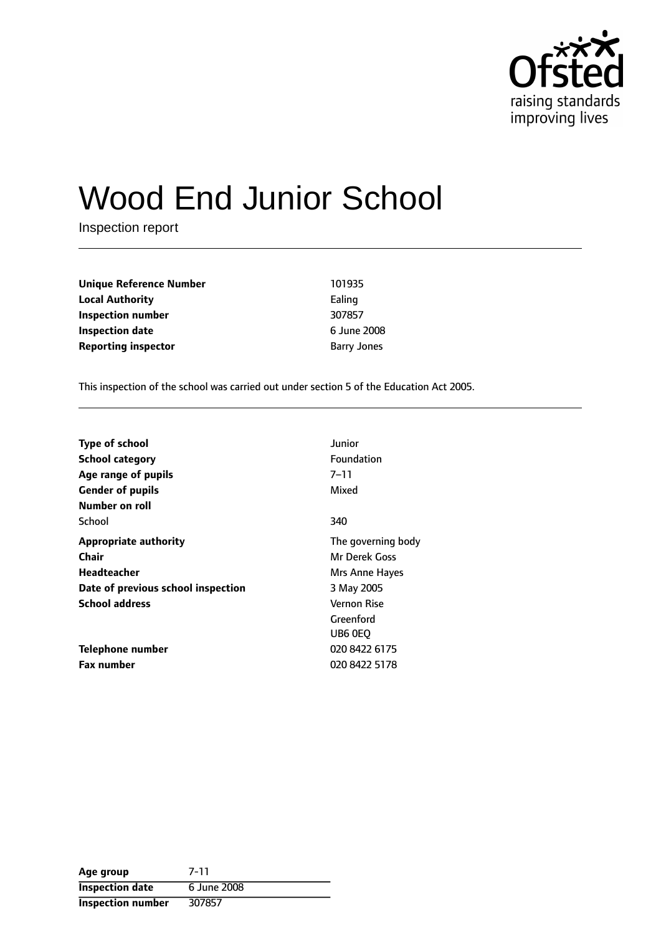

# Wood End Junior School

Inspection report

| Unique Reference Number    | 101935             |
|----------------------------|--------------------|
| Local Authority            | Ealing             |
| Inspection number          | 307857             |
| Inspection date            | 6 June 2008        |
| <b>Reporting inspector</b> | <b>Barry Jones</b> |

This inspection of the school was carried out under section 5 of the Education Act 2005.

| <b>Type of school</b>              | Junior             |
|------------------------------------|--------------------|
| <b>School category</b>             | Foundation         |
| Age range of pupils                | 7–11               |
| <b>Gender of pupils</b>            | Mixed              |
| Number on roll                     |                    |
| School                             | 340                |
| <b>Appropriate authority</b>       | The governing body |
| Chair                              | Mr Derek Goss      |
| Headteacher                        | Mrs Anne Hayes     |
| Date of previous school inspection | 3 May 2005         |
| <b>School address</b>              | Vernon Rise        |
|                                    | Greenford          |
|                                    | UB6 0EO            |
| Telephone number                   | 020 8422 6175      |
| <b>Fax number</b>                  | 020 8422 5178      |

| Age group              | 7-11        |
|------------------------|-------------|
| <b>Inspection date</b> | 6 June 2008 |
| Inspection number      | 307857      |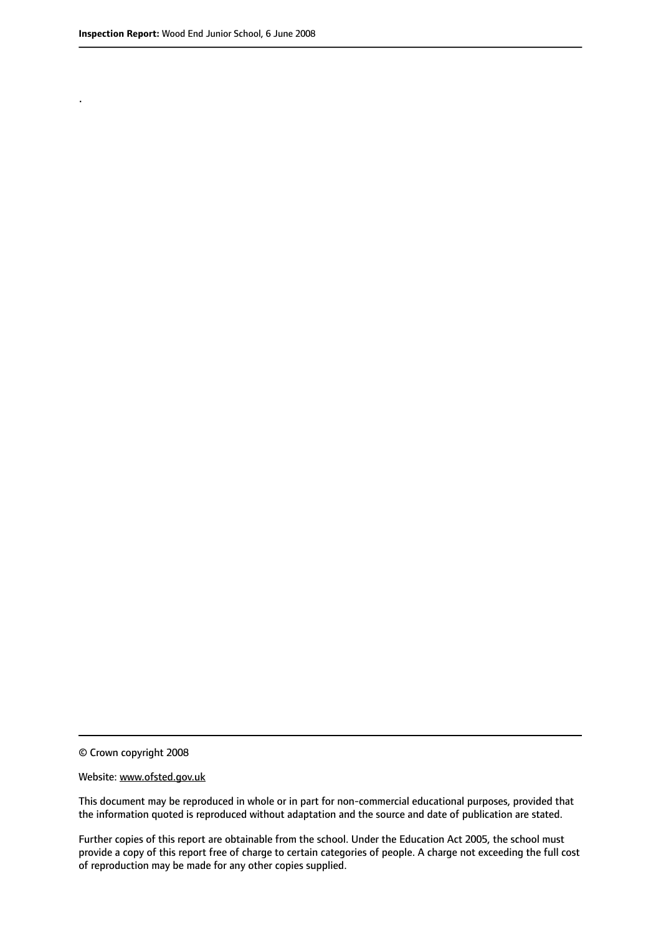.

© Crown copyright 2008

#### Website: www.ofsted.gov.uk

This document may be reproduced in whole or in part for non-commercial educational purposes, provided that the information quoted is reproduced without adaptation and the source and date of publication are stated.

Further copies of this report are obtainable from the school. Under the Education Act 2005, the school must provide a copy of this report free of charge to certain categories of people. A charge not exceeding the full cost of reproduction may be made for any other copies supplied.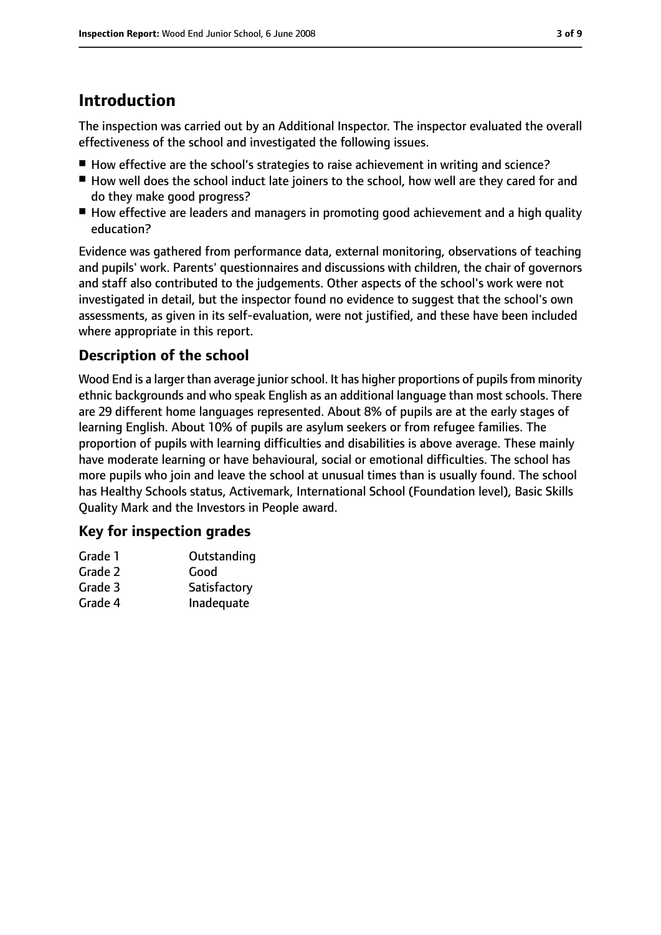# **Introduction**

The inspection was carried out by an Additional Inspector. The inspector evaluated the overall effectiveness of the school and investigated the following issues.

- How effective are the school's strategies to raise achievement in writing and science?
- How well does the school induct late joiners to the school, how well are they cared for and do they make good progress?
- How effective are leaders and managers in promoting good achievement and a high quality education?

Evidence was gathered from performance data, external monitoring, observations of teaching and pupils' work. Parents' questionnaires and discussions with children, the chair of governors and staff also contributed to the judgements. Other aspects of the school's work were not investigated in detail, but the inspector found no evidence to suggest that the school's own assessments, as given in its self-evaluation, were not justified, and these have been included where appropriate in this report.

# **Description of the school**

Wood End is a larger than average junior school. It has higher proportions of pupils from minority ethnic backgrounds and who speak English as an additional language than most schools. There are 29 different home languages represented. About 8% of pupils are at the early stages of learning English. About 10% of pupils are asylum seekers or from refugee families. The proportion of pupils with learning difficulties and disabilities is above average. These mainly have moderate learning or have behavioural, social or emotional difficulties. The school has more pupils who join and leave the school at unusual times than is usually found. The school has Healthy Schools status, Activemark, International School (Foundation level), Basic Skills Quality Mark and the Investors in People award.

# **Key for inspection grades**

| Grade 1 | Outstanding  |
|---------|--------------|
| Grade 2 | Good         |
| Grade 3 | Satisfactory |
| Grade 4 | Inadequate   |
|         |              |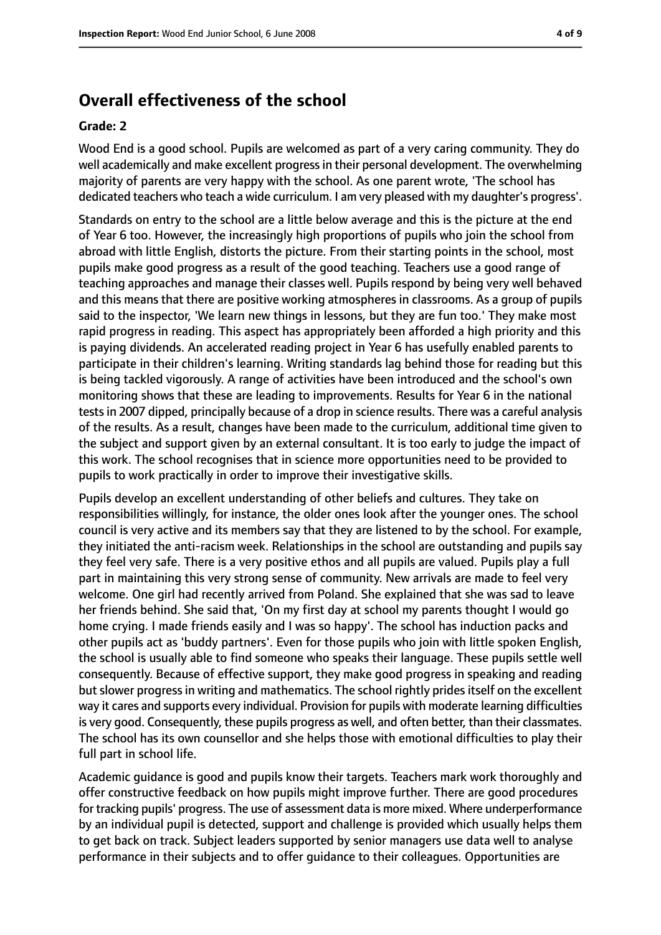# **Overall effectiveness of the school**

#### **Grade: 2**

Wood End is a good school. Pupils are welcomed as part of a very caring community. They do well academically and make excellent progressin their personal development. The overwhelming majority of parents are very happy with the school. As one parent wrote, 'The school has dedicated teachers who teach a wide curriculum. I am very pleased with my daughter's progress'.

Standards on entry to the school are a little below average and this is the picture at the end of Year 6 too. However, the increasingly high proportions of pupils who join the school from abroad with little English, distorts the picture. From their starting points in the school, most pupils make good progress as a result of the good teaching. Teachers use a good range of teaching approaches and manage their classes well. Pupils respond by being very well behaved and this means that there are positive working atmospheres in classrooms. As a group of pupils said to the inspector, 'We learn new things in lessons, but they are fun too.' They make most rapid progress in reading. This aspect has appropriately been afforded a high priority and this is paying dividends. An accelerated reading project in Year 6 has usefully enabled parents to participate in their children's learning. Writing standards lag behind those for reading but this is being tackled vigorously. A range of activities have been introduced and the school's own monitoring shows that these are leading to improvements. Results for Year 6 in the national testsin 2007 dipped, principally because of a drop in science results. There was a careful analysis of the results. As a result, changes have been made to the curriculum, additional time given to the subject and support given by an external consultant. It is too early to judge the impact of this work. The school recognises that in science more opportunities need to be provided to pupils to work practically in order to improve their investigative skills.

Pupils develop an excellent understanding of other beliefs and cultures. They take on responsibilities willingly, for instance, the older ones look after the younger ones. The school council is very active and its members say that they are listened to by the school. For example, they initiated the anti-racism week. Relationships in the school are outstanding and pupils say they feel very safe. There is a very positive ethos and all pupils are valued. Pupils play a full part in maintaining this very strong sense of community. New arrivals are made to feel very welcome. One girl had recently arrived from Poland. She explained that she was sad to leave her friends behind. She said that, 'On my first day at school my parents thought I would go home crying. I made friends easily and I was so happy'. The school has induction packs and other pupils act as 'buddy partners'. Even for those pupils who join with little spoken English, the school is usually able to find someone who speaks their language. These pupils settle well consequently. Because of effective support, they make good progress in speaking and reading but slower progress in writing and mathematics. The school rightly prides itself on the excellent way it cares and supports every individual. Provision for pupils with moderate learning difficulties is very good. Consequently, these pupils progress as well, and often better, than their classmates. The school has its own counsellor and she helps those with emotional difficulties to play their full part in school life.

Academic guidance is good and pupils know their targets. Teachers mark work thoroughly and offer constructive feedback on how pupils might improve further. There are good procedures for tracking pupils' progress. The use of assessment data is more mixed. Where underperformance by an individual pupil is detected, support and challenge is provided which usually helps them to get back on track. Subject leaders supported by senior managers use data well to analyse performance in their subjects and to offer guidance to their colleagues. Opportunities are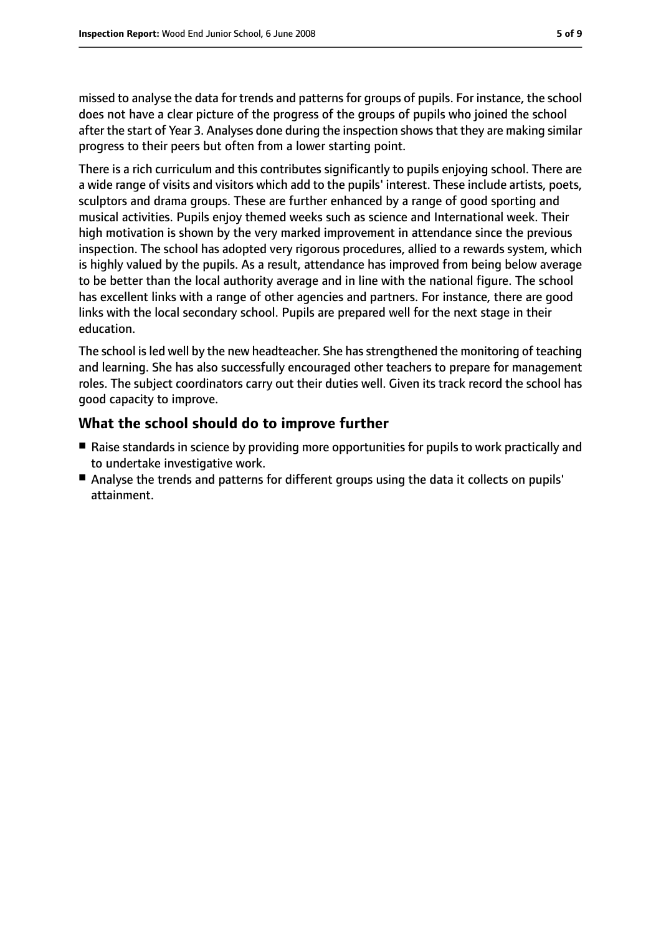missed to analyse the data for trends and patterns for groups of pupils. For instance, the school does not have a clear picture of the progress of the groups of pupils who joined the school after the start of Year 3. Analyses done during the inspection showsthat they are making similar progress to their peers but often from a lower starting point.

There is a rich curriculum and this contributes significantly to pupils enjoying school. There are a wide range of visits and visitors which add to the pupils' interest. These include artists, poets, sculptors and drama groups. These are further enhanced by a range of good sporting and musical activities. Pupils enjoy themed weeks such as science and International week. Their high motivation is shown by the very marked improvement in attendance since the previous inspection. The school has adopted very rigorous procedures, allied to a rewards system, which is highly valued by the pupils. As a result, attendance has improved from being below average to be better than the local authority average and in line with the national figure. The school has excellent links with a range of other agencies and partners. For instance, there are good links with the local secondary school. Pupils are prepared well for the next stage in their education.

The school isled well by the new headteacher. She hasstrengthened the monitoring of teaching and learning. She has also successfully encouraged other teachers to prepare for management roles. The subject coordinators carry out their duties well. Given its track record the school has good capacity to improve.

### **What the school should do to improve further**

- Raise standards in science by providing more opportunities for pupils to work practically and to undertake investigative work.
- Analyse the trends and patterns for different groups using the data it collects on pupils' attainment.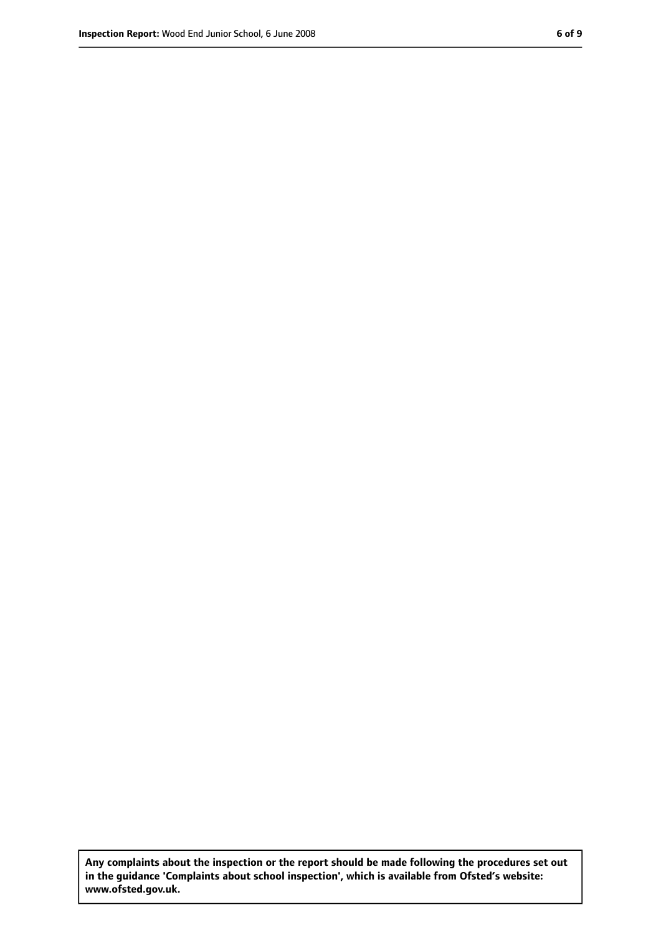**Any complaints about the inspection or the report should be made following the procedures set out in the guidance 'Complaints about school inspection', which is available from Ofsted's website: www.ofsted.gov.uk.**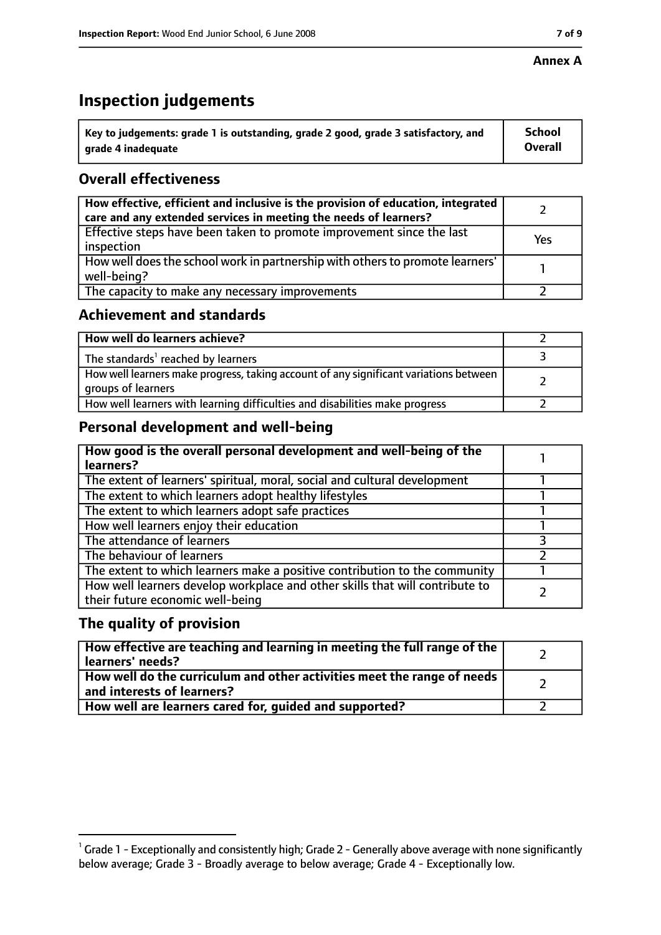#### **Annex A**

# **Inspection judgements**

| $^{\circ}$ Key to judgements: grade 1 is outstanding, grade 2 good, grade 3 satisfactory, and | <b>School</b>  |
|-----------------------------------------------------------------------------------------------|----------------|
| arade 4 inadeguate                                                                            | <b>Overall</b> |

# **Overall effectiveness**

| How effective, efficient and inclusive is the provision of education, integrated<br>care and any extended services in meeting the needs of learners? |     |
|------------------------------------------------------------------------------------------------------------------------------------------------------|-----|
| Effective steps have been taken to promote improvement since the last<br>inspection                                                                  | Yes |
| How well does the school work in partnership with others to promote learners'<br>well-being?                                                         |     |
| The capacity to make any necessary improvements                                                                                                      |     |

# **Achievement and standards**

| How well do learners achieve?                                                                               |  |
|-------------------------------------------------------------------------------------------------------------|--|
| The standards <sup>1</sup> reached by learners                                                              |  |
| How well learners make progress, taking account of any significant variations between<br>groups of learners |  |
| How well learners with learning difficulties and disabilities make progress                                 |  |

# **Personal development and well-being**

| How good is the overall personal development and well-being of the<br>learners?                                  |  |
|------------------------------------------------------------------------------------------------------------------|--|
| The extent of learners' spiritual, moral, social and cultural development                                        |  |
| The extent to which learners adopt healthy lifestyles                                                            |  |
| The extent to which learners adopt safe practices                                                                |  |
| How well learners enjoy their education                                                                          |  |
| The attendance of learners                                                                                       |  |
| The behaviour of learners                                                                                        |  |
| The extent to which learners make a positive contribution to the community                                       |  |
| How well learners develop workplace and other skills that will contribute to<br>their future economic well-being |  |

### **The quality of provision**

| How effective are teaching and learning in meeting the full range of the<br>learners' needs?                     |  |
|------------------------------------------------------------------------------------------------------------------|--|
| How well do the curriculum and other activities meet the range of needs<br>$^{\rm t}$ and interests of learners? |  |
| How well are learners cared for, guided and supported?                                                           |  |

 $^1$  Grade 1 - Exceptionally and consistently high; Grade 2 - Generally above average with none significantly below average; Grade 3 - Broadly average to below average; Grade 4 - Exceptionally low.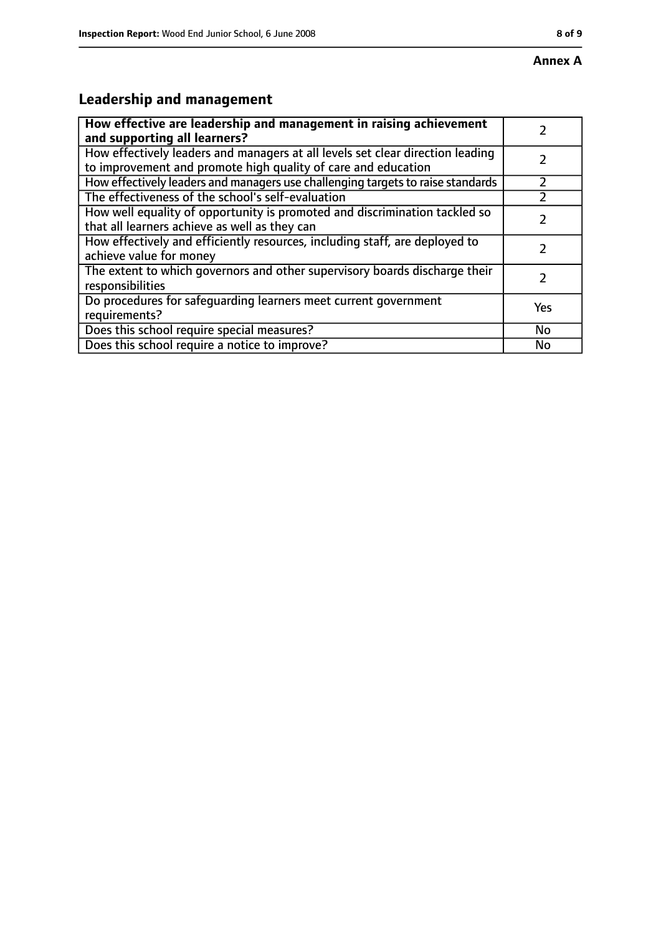# **Leadership and management**

| How effective are leadership and management in raising achievement<br>and supporting all learners?                                              |     |
|-------------------------------------------------------------------------------------------------------------------------------------------------|-----|
| How effectively leaders and managers at all levels set clear direction leading<br>to improvement and promote high quality of care and education |     |
| How effectively leaders and managers use challenging targets to raise standards                                                                 |     |
| The effectiveness of the school's self-evaluation                                                                                               |     |
| How well equality of opportunity is promoted and discrimination tackled so<br>that all learners achieve as well as they can                     |     |
| How effectively and efficiently resources, including staff, are deployed to<br>achieve value for money                                          |     |
| The extent to which governors and other supervisory boards discharge their<br>responsibilities                                                  |     |
| Do procedures for safequarding learners meet current government<br>requirements?                                                                | Yes |
| Does this school require special measures?                                                                                                      | No  |
| Does this school require a notice to improve?                                                                                                   | No  |